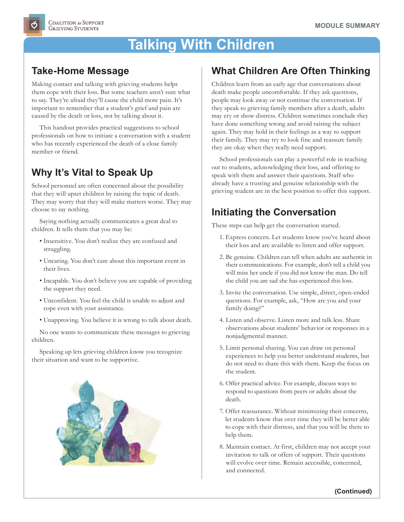# **Talking With Children**

### **Take-Home Message**

Making contact and talking with grieving students helps them cope with their loss. But some teachers aren't sure what to say. They're afraid they'll cause the child more pain. It's important to remember that a student's grief and pain are caused by the death or loss, not by talking about it.

This handout provides practical suggestions to school professionals on how to initiate a conversation with a student who has recently experienced the death of a close family member or friend.

## **Why It's Vital to Speak Up**

School personnel are often concerned about the possibility that they will upset children by raising the topic of death. They may worry that they will make matters worse. They may choose to say nothing.

Saying nothing actually communicates a great deal to children. It tells them that you may be:

- Insensitive. You don't realize they are confused and struggling.
- Uncaring. You don't care about this important event in their lives.
- Incapable. You don't believe you are capable of providing the support they need.
- Unconfident. You feel the child is unable to adjust and cope even with your assistance.
- Unapproving. You believe it is wrong to talk about death.

No one wants to communicate these messages to grieving children.

Speaking up lets grieving children know you recognize their situation and want to be supportive.



#### **What Children Are Often Thinking**

Children learn from an early age that conversations about death make people uncomfortable. If they ask questions, people may look away or not continue the conversation. If they speak to grieving family members after a death, adults may cry or show distress. Children sometimes conclude they have done something wrong and avoid raising the subject again. They may hold in their feelings as a way to support their family. They may try to look fine and reassure family they are okay when they really need support.

School professionals can play a powerful role in reaching out to students, acknowledging their loss, and offering to speak with them and answer their questions. Staff who already have a trusting and genuine relationship with the grieving student are in the best position to offer this support.

## **Initiating the Conversation**

These steps can help get the conversation started.

- 1. Express concern. Let students know you've heard about their loss and are available to listen and offer support.
- 2. Be genuine. Children can tell when adults are authentic in their communications. For example, don't tell a child you will miss her uncle if you did not know the man. Do tell the child you are sad she has experienced this loss.
- 3. Invite the conversation. Use simple, direct, open-ended questions. For example, ask, "How are you and your family doing?"
- 4. Listen and observe. Listen more and talk less. Share observations about students' behavior or responses in a nonjudgmental manner.
- 5. Limit personal sharing. You can draw on personal experiences to help you better understand students, but do not need to share this with them. Keep the focus on the student.
- 6. Offer practical advice. For example, discuss ways to respond to questions from peers or adults about the death.
- 7. Offer reassurance. Without minimizing their concerns, let students know that over time they will be better able to cope with their distress, and that you will be there to help them.
- 8. Maintain contact. At first, children may not accept your invitation to talk or offers of support. Their questions will evolve over time. Remain accessible, concerned, and connected.